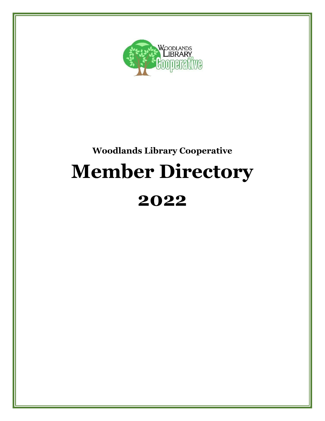

# **Woodlands Library Cooperative Member Directory 2022**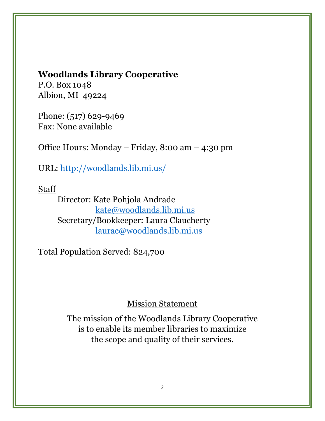# **Woodlands Library Cooperative**

P.O. Box 1048 Albion, MI 49224

Phone: (517) 629-9469 Fax: None available

Office Hours: Monday – Friday, 8:00 am – 4:30 pm

URL:<http://woodlands.lib.mi.us/>

**Staff** 

Director: Kate Pohjola Andrade [kate@woodlands.lib.mi.us](mailto:kate@woodlands.lib.mi.us) Secretary/Bookkeeper: Laura Claucherty [laurac@woodlands.lib.mi.us](mailto:laurac@woodlands.lib.mi.us)

Total Population Served: 824,700

# Mission Statement

The mission of the Woodlands Library Cooperative is to enable its member libraries to maximize the scope and quality of their services.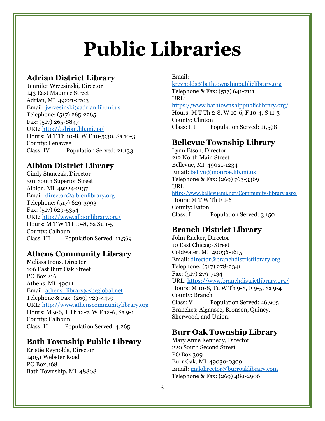# **Public Libraries**

#### **Adrian District Library**

Jennifer Wrzesinski, Director 143 East Maumee Street Adrian, MI 49221-2703 Email: [jwrzesinski@adrian.lib.mi.us](mailto:jwrzesinski@adrian.lib.mi.us) Telephone: (517) 265-2265 Fax: (517) 265-8847 URL:<http://adrian.lib.mi.us/> Hours: M T Th 10-8, W F 10-5:30, Sa 10-3 County: Lenawee Class: IV Population Served: 21,133

#### **Albion District Library**

Cindy Stanczak, Director 501 South Superior Street Albion, MI 49224-2137 Email: [director@albionlibrary.org](mailto:director@albionlibrary.org) Telephone: (517) 629-3993 Fax: (517) 629-5354 URL:<http://www.albionlibrary.org/> Hours: M T W TH 10-8, Sa Su 1-5 County: Calhoun Class: III Population Served: 11,569

# **Athens Community Library**

Melissa Irons, Director 106 East Burr Oak Street PO Box 216 Athens, MI 49011 Email: [athens\\_library@sbcglobal.net](mailto:athens_library@sbcglobal.net) Telephone & Fax: (269) 729-4479 URL: [http://www.athenscommunitylibrary.org](http://www.athenscommunitylibrary.org/) Hours: M 9-6, T Th 12-7, W F 12-6, Sa 9-1 County: Calhoun Class: II Population Served: 4,265

# **Bath Township Public Library**

Kristie Reynolds, Director 14051 Webster Road PO Box 368 Bath Township, MI 48808 Email:

<kreynolds@bathtownshippubliclibrary.org> Telephone & Fax: (517) 641-7111 URL: <https://www.bathtownshippubliclibrary.org/> Hours: M T Th 2-8, W 10-6, F 10-4, S 11-3 County: Clinton Class: III Population Served: 11,598

#### **Bellevue Township Library**

Lynn Etson, Director 212 North Main Street Bellevue, MI 49021-1234 Email: [bellvu@monroe.lib.mi.us](mailto:bellvu@monroe.lib.mi.us) Telephone & Fax: (269) 763-3369 URL: <http://www.bellevuemi.net/Community/library.aspx> Hours: M T W Th F 1-6 County: Eaton

# **Branch District Library**

Class: I Population Served: 3,150

John Rucker, Director 10 East Chicago Street Coldwater, MI 49036-1615 Email: [director@branchdistrictlibrary.org](mailto:director@branchdistrictlibrary.org) Telephone: (517) 278-2341 Fax: (517) 279-7134 URL: <https://www.branchdistrictlibrary.org/> Hours: M 10-8, Tu W Th 9-8, F 9-5, Sa 9-4 County: Branch Class: V Population Served: 46,905 Branches: Algansee, Bronson, Quincy, Sherwood, and Union.

#### **Burr Oak Township Library**

Mary Anne Kennedy, Director 220 South Second Street PO Box 309 Burr Oak, MI 49030-0309 Email: [makdirector@burroaklibrary.com](mailto:makdirector@burroaklibrary.com) Telephone & Fax: (269) 489-2906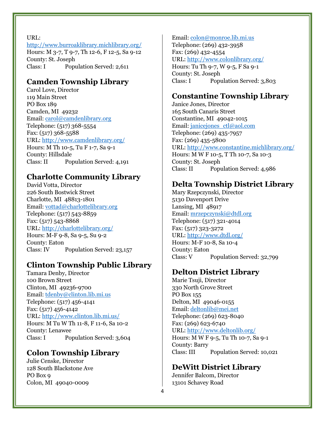URL:

<http://www.burroaklibrary.michlibrary.org/> Hours: M 3-7, T 9-7, Th 12-6, F 12-5, Sa 9-12 County: St. Joseph Class: I Population Served: 2,611

# **Camden Township Library**

Carol Love, Director 119 Main Street PO Box 189 Camden, MI 49232 Email: [carol@camdenlibrary.org](mailto:carol@camdenlibrary.org) Telephone: (517) 368-5554 Fax: (517) 368-5588 URL: <http://www.camdenlibrary.org/> Hours: M Th 10-5, Tu F 1-7, Sa 9-1 County: Hillsdale Class: II Population Served: 4,191

# **Charlotte Community Library**

David Votta, Director 226 South Bostwick Street Charlotte, MI 48813-1801 Email: [vottad@charlottelibrary.org](mailto:vottad@charlottelibrary.org) Telephone: (517) 543-8859 Fax: (517) 543-8868 URL: <http://charlottelibrary.org/> Hours: M-F 9-8, Sa 9-5, Su 9-2 County: Eaton Class: IV Population Served: 23,157

# **Clinton Township Public Library**

Tamara Denby, Director 100 Brown Street Clinton, MI 49236-9700 Email: [tdenby@clinton.lib.mi.us](mailto:pparrish@clinton.lib.mi.us) Telephone: (517) 456-4141 Fax: (517) 456-4142 URL: <http://www.clinton.lib.mi.us/> Hours: M Tu W Th 11-8, F 11-6, Sa 10-2 County: Lenawee Class: I Population Served: 3,604

# **Colon Township Library**

Julie Censke, Director 128 South Blackstone Ave PO Box 9 Colon, MI 49040-0009

#### Email: [colon@monroe.lib.mi.us](mailto:colon@monroe.lib.mi.us)

Telephone: (269) 432-3958 Fax: (269) 432-4554 URL: <http://www.colonlibrary.org/> Hours: Tu Th 9-7, W 9-5, F Sa 9-1 County: St. Joseph Class: I Population Served: 3,803

# **Constantine Township Library**

Janice Jones, Director 165 South Canaris Street Constantine, MI 49042-1015 Email: [janicejones\\_ctl@aol.com](mailto:janicejones_ctl@aol.com) Telephone: (269) 435-7957 Fax: (269) 435-5800 URL: <http://www.constantine.michlibrary.org/> Hours: M W F 10-5, T Th 10-7, Sa 10-3 County: St. Joseph Class: II Population Served: 4,986

# **Delta Township District Library**

Mary Rzepczynski, Director 5130 Davenport Drive Lansing, MI 48917 Email: [mrzepczynski@dtdl.org](mailto:mrzepczynski@dtdl.org) Telephone: (517) 321-4014 Fax: (517) 323-3272 URL: <http://www.dtdl.org/> Hours: M-F 10-8, Sa 10-4 County: Eaton Class: V Population Served: 32,799

# **Delton District Library**

Marie Tsuji, Director 330 North Grove Street PO Box 155 Delton, MI 49046-0155 Email: [deltonlib@mei.net](mailto:deltonlib@mei.net) Telephone: (269) 623-8040 Fax: (269) 623-6740 URL: <http://www.deltonlib.org/> Hours: M W F 9-5, Tu Th 10-7, Sa 9-1 County: Barry Class: III Population Served: 10,021

# **DeWitt District Library**

Jennifer Balcom, Director 13101 Schavey Road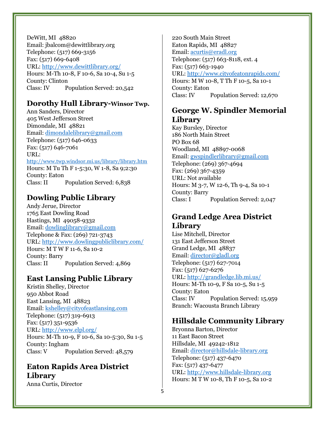DeWitt, MI 48820 Email: jbalcom@dewittlibrary.org Telephone: (517) 669-3156 Fax: (517) 669-6408 URL:<http://www.dewittlibrary.org/> Hours: M-Th 10-8, F 10-6, Sa 10-4, Su 1-5 County: Clinton Class: IV Population Served: 20,542

#### **Dorothy Hull Library-Winsor Twp.**

Ann Sanders, Director 405 West Jefferson Street Dimondale, MI 48821 Email: [dimondalelibrary@gmail.com](mailto:sleejoy@gmail.com) Telephone: (517) 646-0633 Fax: (517) 646-7061 URL: <http://www.twp.windsor.mi.us/library/library.htm> Hours: M Tu Th F 1-5:30, W 1-8, Sa 9;2:30 County: Eaton Class: II Population Served: 6,838

# **Dowling Public Library**

Andy Jerue, Director 1765 East Dowling Road Hastings, MI 49058-9332 Email: [dowlinglibrary@gmail.com](mailto:dowlinglibrary@gmail.com) Telephone & Fax: (269) 721-3743 URL: <http://www.dowlingpubliclibrary.com/> Hours: M T W F 11-6, Sa 10-2 County: Barry Class: II Population Served: 4,869

# **East Lansing Public Library**

Kristin Shelley, Director 950 Abbot Road East Lansing, MI 48823 Email: [kshelley@cityofeastlansing.com](mailto:kshelley@cityofeastlansing.com) Telephone: (517) 319-6913 Fax: (517) 351-9536 URL: <http://www.elpl.org/> Hours: M-Th 10-9, F 10-6, Sa 10-5:30, Su 1-5 County: Ingham Class: V Population Served: 48,579

# **Eaton Rapids Area District Library**

Anna Curtis, Director

220 South Main Street Eaton Rapids, MI 48827 Email: <acurtis@eradl.org> Telephone: (517) 663-8118, ext. 4 Fax: (517) 663-1940 URL: <http://www.cityofeatonrapids.com/> Hours: M W 10-8, T Th F 10-5, Sa 10-1 County: Eaton Class: IV Population Served: 12,670

# **George W. Spindler Memorial Library**

Kay Bursley, Director 186 North Main Street PO Box 68 Woodland, MI 48897-0068 Email: [gwspindlerlibrary@gmail.com](mailto:gwspindlerlibrary@gmail.com) Telephone: (269) 367-4694 Fax: (269) 367-4359 URL: Not available Hours: M 3-7, W 12-6, Th 9-4, Sa 10-1 County: Barry Class: I Population Served: 2,047

# **Grand Ledge Area District Library**

Lise Mitchell, Director 131 East Jefferson Street Grand Ledge, MI 48837 Email: [director@gladl.org](mailto:director@gladl.org) Telephone: (517) 627-7014 Fax: (517) 627-6276 URL:<http://grandledge.lib.mi.us/> Hours: M-Th 10-9, F Sa 10-5, Su 1-5 County: Eaton Class: IV Population Served: 15,959 Branch: Wacousta Branch Library

# **Hillsdale Community Library**

Bryonna Barton, Director 11 East Bacon Street Hillsdale, MI 49242-1812 Email:<director@hillsdale-library.org> Telephone: (517) 437-6470 Fax: (517) 437-6477 URL: [http://www.hillsdale-library.org](http://www.hillsdale-library.org/) Hours: M T W 10-8, Th F 10-5, Sa 10-2

5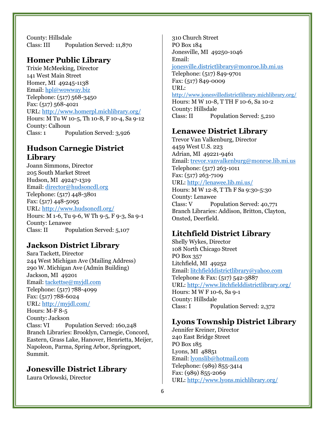County: Hillsdale Class: III Population Served: 11,870

#### **Homer Public Library**

Trixie McMeeking, Director 141 West Main Street Homer, MI 49245-1138 Email: [hpl@wowway.biz](mailto:hpl@wowway.biz) Telephone: (517) 568-3450 Fax: (517) 568-4021 URL: <http://www.homerpl.michlibrary.org/> Hours: M Tu W 10-5, Th 10-8, F 10-4, Sa 9-12 County: Calhoun Class: 1 Population Served: 3,926

# **Hudson Carnegie District Library**

Joann Simmons, Director 205 South Market Street Hudson, MI 49247-1319 Email: [director@hudsoncdl.org](mailto:director@hudsoncdl.org) Telephone: (517) 448-3801 Fax: (517) 448-5095 URL: <http://www.hudsoncdl.org/> Hours: M 1-6, Tu 9-6, W Th 9-5, F 9-3, Sa 9-1 County: Lenawee Class: II Population Served: 5,107

# **Jackson District Library**

Sara Tackett, Director 244 West Michigan Ave (Mailing Address) 290 W. Michigan Ave (Admin Building) Jackson, MI 49201 Email: [tackettse@myjdl.com](mailto:tackettse@myjdl.com) Telephone: (517) 788-4099 Fax: (517) 788-6024 URL: <http://myjdl.com/> Hours: M-F 8-5 County: Jackson Class: VI Population Served: 160,248 Branch Libraries: Brooklyn, Carnegie, Concord, Eastern, Grass Lake, Hanover, Henrietta, Meijer, Napoleon, Parma, Spring Arbor, Springport, Summit.

# **Jonesville District Library**

Laura Orlowski, Director

310 Church Street PO Box 184 Jonesville, MI 49250-1046 Email: [jonesville.districtlibrary@monroe.lib.mi.us](mailto:jonesville.districtlibrary@monroe.lib.mi.us) Telephone: (517) 849-9701 Fax: (517) 849-0009 URL: <http://www.jonesvilledistrictlibrary.michlibrary.org/> Hours: M W 10-8, T TH F 10-6, Sa 10-2 County: Hillsdale Class: II Population Served: 5,210

# **Lenawee District Library**

Trevor Van Valkenburg, Director 4459 West U.S. 223 Adrian, MI 49221-9461 Email: [trevor.vanvalkenburg@monroe.lib.mi.us](mailto:trevor.vanvalkenburg@monroe.lib.mi.us) Telephone: (517) 263-1011 Fax: (517) 263-7109 URL:<http://lenawee.lib.mi.us/> Hours: M W 12-8, T Th F Sa 9:30-5:30 County: Lenawee Class: V Population Served: 40,771 Branch Libraries: Addison, Britton, Clayton, Onsted, Deerfield.

# **Litchfield District Library**

Shelly Wykes, Director 108 North Chicago Street PO Box 357 Litchfield, MI 49252 Email: [litchfielddistrictlibrary@yahoo.com](mailto:litchfielddistrictlibrary@yahoo.com) Telephone & Fax: (517) 542-3887 URL: <http://www.litchfielddistrictlibrary.org/> Hours: M W F 10-6, Sa 9-1 County: Hillsdale Class: I Population Served: 2,372

# **Lyons Township District Library**

Jennifer Kreiner, Director 240 East Bridge Street PO Box 185 Lyons, MI 48851 Email: [lyonslib@hotmail.com](mailto:lyonslib@hotmail.com) Telephone: (989) 855-3414 Fax: (989) 855-2069 URL: <http://www.lyons.michlibrary.org/>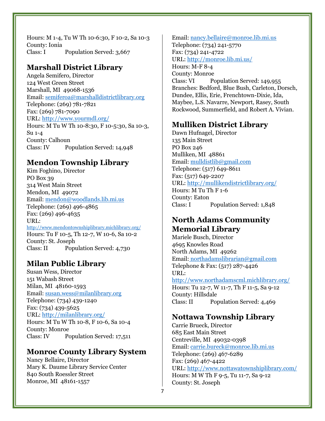Hours: M 1-4, Tu W Th 10-6:30, F 10-2, Sa 10-3 County: Ionia Class: I Population Served: 3,667

# **Marshall District Library**

Angela Semifero, Director 124 West Green Street Marshall, MI 49068-1536 Email: [semiferoa@marshalldistrictlibrary.org](mailto:semiferoa@marshalldistrictlibrary.org) Telephone: (269) 781-7821 Fax: (269) 781-7090 URL: <http://www.yourmdl.org/> Hours: M Tu W Th 10-8:30, F 10-5:30, Sa 10-3, Su 1-4 County: Calhoun Class: IV Population Served: 14,948

# **Mendon Township Library**

Kim Foghino, Director PO Box 39 314 West Main Street Mendon, MI 49072 Email: [mendon@woodlands.lib.mi.us](mailto:mendon@woodlands.lib.mi.us) Telephone: (269) 496-4865 Fax: (269) 496-4635 URL: <http://www.mendontownshiplibrary.michlibrary.org/> Hours: Tu F 10-5, Th 12-7, W 10-6, Sa 10-2 County: St. Joseph Class: II Population Served: 4,730

# **Milan Public Library**

Susan Wess, Director 151 Wabash Street Milan, MI 48160-1593 Email: [susan.wess@milanlibrary.org](mailto:susan.wess@milanlibrary.org) Telephone: (734) 439-1240 Fax: (734) 439-5625 URL: <http://milanlibrary.org/> Hours: M Tu W Th 10-8, F 10-6, Sa 10-4 County: Monroe Class: IV Population Served: 17,511

#### **Monroe County Library System**

Nancy Bellaire, Director Mary K. Daume Library Service Center 840 South Roessler Street Monroe, MI 48161-1557

Email: [nancy.bellaire@monroe.lib.mi.us](mailto:nancy.bellaire@monroe.lib.mi.us) Telephone: (734) 241-5770 Fax: (734) 241-4722 URL: <http://monroe.lib.mi.us/> Hours: M-F 8-4 County: Monroe Class: VI Population Served: 149,955 Branches: Bedford, Blue Bush, Carleton, Dorsch, Dundee, Ellis, Erie, Frenchtown-Dixie, Ida, Maybee, L.S. Navarre, Newport, Rasey, South Rockwood, Summerfield, and Robert A. Vivian.

# **Mulliken District Library**

Dawn Hufnagel, Director 135 Main Street PO Box 246 Mulliken, MI 48861 Email: [mulldistlib@gmail.com](mailto:mulldistlib@gmail.com) Telephone: (517) 649-8611 Fax: (517) 649-2207 URL: <http://mullikendistrictlibrary.org/> Hours: M Tu Th F 1-6 County: Eaton Class: I Population Served: 1,848

# **North Adams Community Memorial Library**

Mariele Busch, Director 4695 Knowles Road North Adams, MI 49262 Email: [northadamslibrarian@gmail.com](mailto:northadamslibrarian@gmail.com) Telephone & Fax: (517) 287-4426 URL: <http://www.northadamscml.michlibrary.org/> Hours: Tu 12-7, W 11-7, Th F 11-5, Sa 9-12 County: Hillsdale Class: II Population Served: 4,469

#### **Nottawa Township Library**

Carrie Brueck, Director 685 East Main Street Centreville, MI 49032-0398 Email: [carrie.bureck@monroe.lib.mi.us](mailto:carrie.bureck@monroe.lib.mi.us) Telephone: (269) 467-6289 Fax: (269) 467-4422 URL: <http://www.nottawatownshiplibrary.com/> Hours: M W Th F 9-5, Tu 11-7, Sa 9-12 County: St. Joseph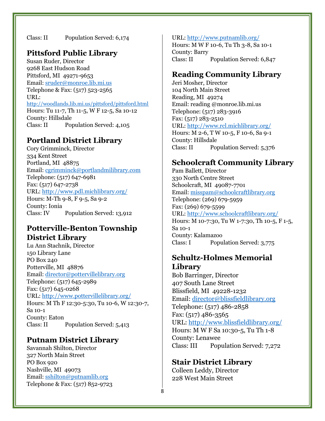Class: II Population Served: 6,174

# **Pittsford Public Library**

Susan Ruder, Director 9268 East Hudson Road Pittsford, MI 49271-9653 Email: [sruder@monroe.lib.mi.us](mailto:sruder@monroe.lib.mi.us)  Telephone & Fax: (517) 523-2565 URL: <http://woodlands.lib.mi.us/pittsford/pittsford.html> Hours: Tu 11-7, Th 11-5, W F 12-5, Sa 10-12 County: Hillsdale Class: II Population Served: 4,105

#### **Portland District Library**

Cory Grimminck, Director 334 Kent Street Portland, MI 48875 Email: [cgrimminck@portlandmilibrary.com](mailto:cgrimminck@portlandmilibrary.com) Telephone: (517) 647-6981 Fax: (517) 647-2738 URL: <http://www.pdl.michlibrary.org/> Hours: M-Th 9-8, F 9-5, Sa 9-2 County: Ionia Class: IV Population Served: 13,912

#### **Potterville-Benton Township District Library**

Lu Ann Stachnik, Director 150 Library Lane PO Box 240 Potterville, MI 48876 Email: [director@pottervillelibrary.org](mailto:director@pottervillelibrary.org) Telephone: (517) 645-2989 Fax: (517) 645-0268 URL: <http://www.pottervillelibrary.org/> Hours: M Th F 12:30-5:30, Tu 10-6, W 12:30-7, Sa 10-1 County: Eaton Class: II Population Served: 5,413

# **Putnam District Library**

Savannah Shilton, Director 327 North Main Street PO Box 920 Nashville, MI 49073 Email: [sshilton@putnamlib.org](mailto:sshilton@putnamlib.org) Telephone & Fax: (517) 852-9723

#### URL: <http://www.putnamlib.org/>

Hours: M W F 10-6, Tu Th 3-8, Sa 10-1 County: Barry Class: II Population Served: 6,847

### **Reading Community Library**

Jeri Mosher, Director 104 North Main Street Reading, MI 49274 Email: reading @monroe.lib.mi.us Telephone: (517) 283-3916 Fax: (517) 283-2510 URL: <http://www.rcl.michlibrary.org/> Hours: M 2-6, T W 10-5, F 10-6, Sa 9-1 County: Hillsdale Class: II Population Served: 5,376

#### **Schoolcraft Community Library**

Pam Ballett, Director 330 North Centre Street Schoolcraft, MI 49087-7701 Email: [misspam@schoolcraftlibrary.org](mailto:misspam@schoolcraftlibrary.org) Telephone: (269) 679-5959 Fax: (269) 679-5599 URL: <http://www.schoolcraftlibrary.org/> Hours: M 10-7:30, Tu W 1-7:30, Th 10-5, F 1-5, Sa 10-1 County: Kalamazoo Class: I Population Served: 3,775

#### **Schultz-Holmes Memorial Library**

Bob Barringer, Director 407 South Lane Street Blissfield, MI 49228-1232 Email: [director@blissfieldlibrary.org](mailto:director@blissfieldlibrary.org) Telephone: (517) 486-2858 Fax: (517) 486-3565 URL: <http://www.blissfieldlibrary.org/> Hours: M W F Sa 10:30-5, Tu Th 1-8 County: Lenawee Class: III Population Served: 7,272

#### **Stair District Library**

Colleen Leddy, Director 228 West Main Street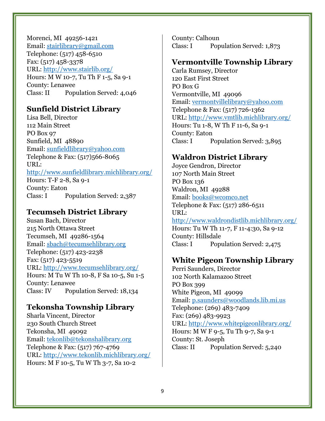Morenci, MI 49256-1421 Email: <stairlibrary@gmail.com> Telephone: (517) 458-6510 Fax: (517) 458-3378 URL: <http://www.stairlib.org/> Hours: M W 10-7, Tu Th F 1-5, Sa 9-1 County: Lenawee Class: II Population Served: 4,046

#### **Sunfield District Library**

Lisa Bell, Director 112 Main Street PO Box 97 Sunfield, MI 48890 Email: [sunfieldlibrary@yahoo.com](mailto:sunfieldlibrary@yahoo.com) Telephone & Fax: (517)566-8065 URL: <http://www.sunfieldlibrary.michlibrary.org/> Hours: T-F 2-8, Sa 9-1 County: Eaton Class: I Population Served: 2,387

#### **Tecumseh District Library**

Susan Bach, Director 215 North Ottawa Street Tecumseh, MI 49286-1564 Email: [sbach@tecumsehlibrary.org](mailto:sbach@tecumsehlibrary.org) Telephone: (517) 423-2238 Fax: (517) 423-5519 URL: <http://www.tecumsehlibrary.org/> Hours: M Tu W Th 10-8, F Sa 10-5, Su 1-5 County: Lenawee Class: IV Population Served: 18,134

#### **Tekonsha Township Library**

Sharla Vincent, Director 230 South Church Street Tekonsha, MI 49092 Email: [tekonlib@tekonshalibrary.org](mailto:tekonlib@tekonshalibrary.org) Telephone & Fax: (517) 767-4769 URL: <http://www.tekonlib.michlibrary.org/> Hours: M F 10-5, Tu W Th 3-7, Sa 10-2

County: Calhoun Class: I Population Served: 1,873

#### **Vermontville Township Library**

Carla Rumsey, Director 120 East First Street PO Box G Vermontville, MI 49096 Email: [vermontvillelibrary@yahoo.com](mailto:vermontvillelibrary@yahoo.com) Telephone & Fax: (517) 726-1362 URL: <http://www.vmtlib.michlibrary.org/> Hours: Tu 1-8, W Th F 11-6, Sa 9-1 County: Eaton Class: I Population Served: 3,895

# **Waldron District Library**

Joyce Gendron, Director 107 North Main Street PO Box 136 Waldron, MI 49288 Email: [books@wcomco.net](mailto:books@wcomco.net) Telephone & Fax: (517) 286-6511 URL: <http://www.waldrondistlib.michlibrary.org/> Hours: Tu W Th 11-7, F 11-4:30, Sa 9-12 County: Hillsdale Class: I Population Served: 2,475

#### **White Pigeon Township Library**

Perri Saunders, Director 102 North Kalamazoo Street PO Box 399 White Pigeon, MI 49099 Email: [p.saunders@woodlands.lib.mi.us](mailto:p.saunders@woodlands.lib.mi.us) Telephone: (269) 483-7409 Fax: (269) 483-9923 URL:<http://www.whitepigeonlibrary.org/> Hours: M W F 9-5, Tu Th 9-7, Sa 9-1 County: St. Joseph Class: II Population Served: 5,240